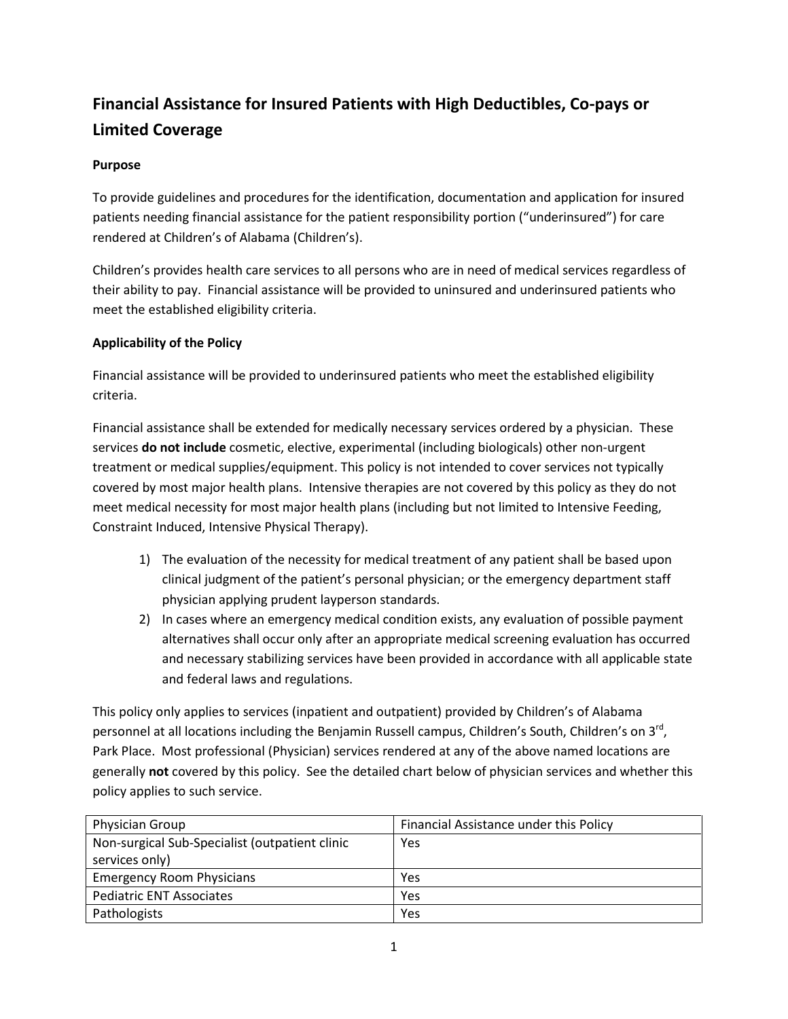# **Financial Assistance for Insured Patients with High Deductibles, Co-pays or Limited Coverage**

## **Purpose**

To provide guidelines and procedures for the identification, documentation and application for insured patients needing financial assistance for the patient responsibility portion ("underinsured") for care rendered at Children's of Alabama (Children's).

Children's provides health care services to all persons who are in need of medical services regardless of their ability to pay. Financial assistance will be provided to uninsured and underinsured patients who meet the established eligibility criteria.

## **Applicability of the Policy**

Financial assistance will be provided to underinsured patients who meet the established eligibility criteria.

Financial assistance shall be extended for medically necessary services ordered by a physician. These services **do not include** cosmetic, elective, experimental (including biologicals) other non-urgent treatment or medical supplies/equipment. This policy is not intended to cover services not typically covered by most major health plans. Intensive therapies are not covered by this policy as they do not meet medical necessity for most major health plans (including but not limited to Intensive Feeding, Constraint Induced, Intensive Physical Therapy).

- 1) The evaluation of the necessity for medical treatment of any patient shall be based upon clinical judgment of the patient's personal physician; or the emergency department staff physician applying prudent layperson standards.
- 2) In cases where an emergency medical condition exists, any evaluation of possible payment alternatives shall occur only after an appropriate medical screening evaluation has occurred and necessary stabilizing services have been provided in accordance with all applicable state and federal laws and regulations.

This policy only applies to services (inpatient and outpatient) provided by Children's of Alabama personnel at all locations including the Benjamin Russell campus, Children's South, Children's on 3<sup>rd</sup>, Park Place. Most professional (Physician) services rendered at any of the above named locations are generally **not** covered by this policy. See the detailed chart below of physician services and whether this policy applies to such service.

| Physician Group                                | Financial Assistance under this Policy |  |
|------------------------------------------------|----------------------------------------|--|
| Non-surgical Sub-Specialist (outpatient clinic | Yes                                    |  |
| services only)                                 |                                        |  |
| <b>Emergency Room Physicians</b>               | Yes                                    |  |
| <b>Pediatric ENT Associates</b>                | Yes                                    |  |
| Pathologists                                   | Yes                                    |  |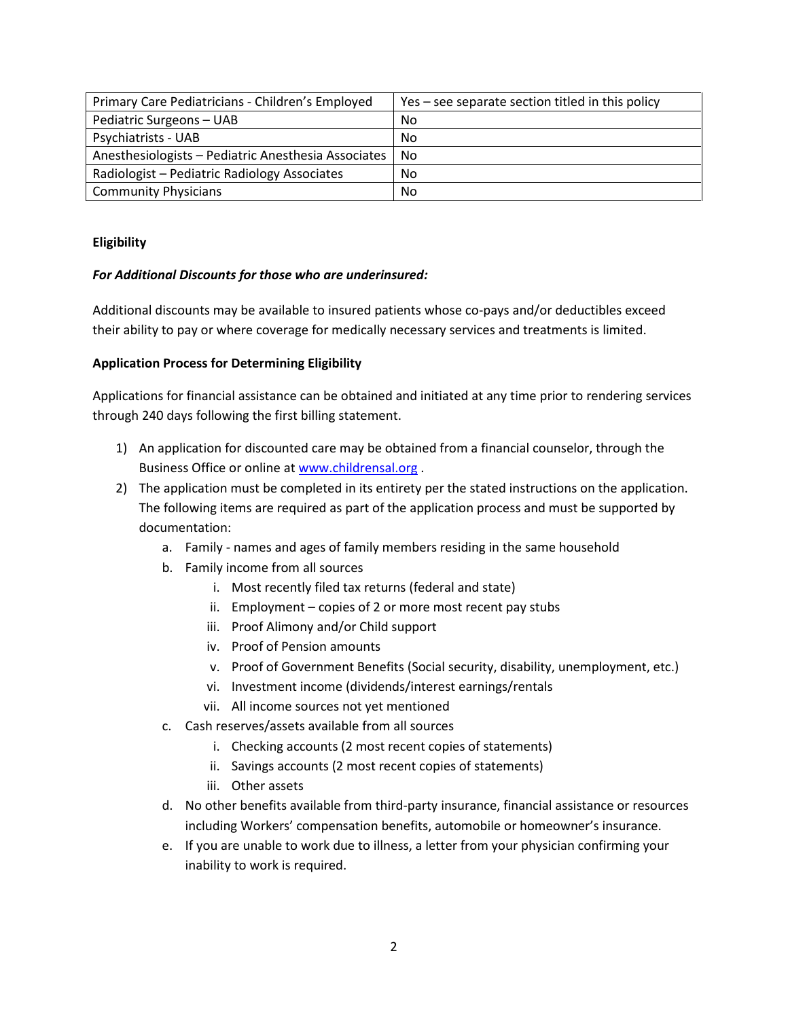| Primary Care Pediatricians - Children's Employed    | Yes – see separate section titled in this policy |
|-----------------------------------------------------|--------------------------------------------------|
| Pediatric Surgeons - UAB                            | N <sub>0</sub>                                   |
| <b>Psychiatrists - UAB</b>                          | No                                               |
| Anesthesiologists - Pediatric Anesthesia Associates | No                                               |
| Radiologist - Pediatric Radiology Associates        | <b>No</b>                                        |
| <b>Community Physicians</b>                         | No                                               |

#### **Eligibility**

#### *For Additional Discounts for those who are underinsured:*

Additional discounts may be available to insured patients whose co-pays and/or deductibles exceed their ability to pay or where coverage for medically necessary services and treatments is limited.

#### **Application Process for Determining Eligibility**

Applications for financial assistance can be obtained and initiated at any time prior to rendering services through 240 days following the first billing statement.

- 1) An application for discounted care may be obtained from a financial counselor, through the Business Office or online at [www.childrensal.org](http://www.childrensal.org/) .
- 2) The application must be completed in its entirety per the stated instructions on the application. The following items are required as part of the application process and must be supported by documentation:
	- a. Family names and ages of family members residing in the same household
	- b. Family income from all sources
		- i. Most recently filed tax returns (federal and state)
		- ii. Employment copies of 2 or more most recent pay stubs
		- iii. Proof Alimony and/or Child support
		- iv. Proof of Pension amounts
		- v. Proof of Government Benefits (Social security, disability, unemployment, etc.)
		- vi. Investment income (dividends/interest earnings/rentals
		- vii. All income sources not yet mentioned
	- c. Cash reserves/assets available from all sources
		- i. Checking accounts (2 most recent copies of statements)
		- ii. Savings accounts (2 most recent copies of statements)
		- iii. Other assets
	- d. No other benefits available from third-party insurance, financial assistance or resources including Workers' compensation benefits, automobile or homeowner's insurance.
	- e. If you are unable to work due to illness, a letter from your physician confirming your inability to work is required.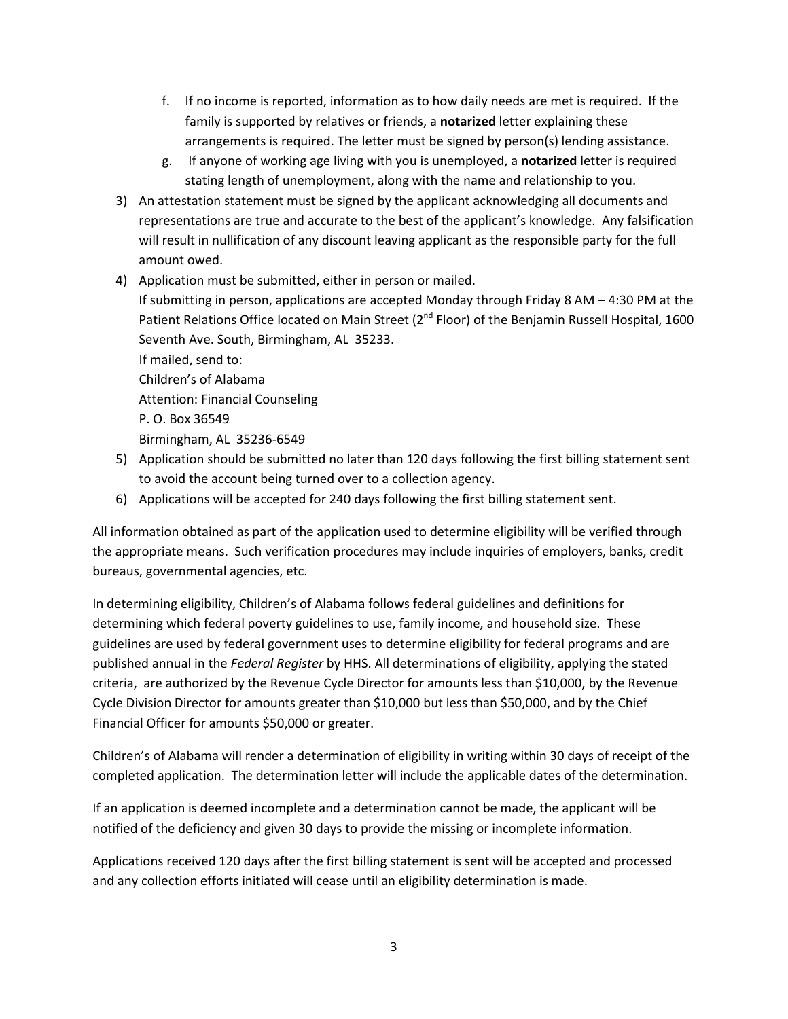- f. If no income is reported, information as to how daily needs are met is required. If the family is supported by relatives or friends, a **notarized** letter explaining these arrangements is required. The letter must be signed by person(s) lending assistance.
- g. If anyone of working age living with you is unemployed, a **notarized** letter is required stating length of unemployment, along with the name and relationship to you.
- 3) An attestation statement must be signed by the applicant acknowledging all documents and representations are true and accurate to the best of the applicant's knowledge. Any falsification will result in nullification of any discount leaving applicant as the responsible party for the full amount owed.
- 4) Application must be submitted, either in person or mailed.

If submitting in person, applications are accepted Monday through Friday 8 AM – 4:30 PM at the Patient Relations Office located on Main Street (2<sup>nd</sup> Floor) of the Benjamin Russell Hospital, 1600 Seventh Ave. South, Birmingham, AL 35233.

If mailed, send to: Children's of Alabama Attention: Financial Counseling P. O. Box 36549 Birmingham, AL 35236-6549

- 5) Application should be submitted no later than 120 days following the first billing statement sent to avoid the account being turned over to a collection agency.
- 6) Applications will be accepted for 240 days following the first billing statement sent.

All information obtained as part of the application used to determine eligibility will be verified through the appropriate means. Such verification procedures may include inquiries of employers, banks, credit bureaus, governmental agencies, etc.

In determining eligibility, Children's of Alabama follows federal guidelines and definitions for determining which federal poverty guidelines to use, family income, and household size. These guidelines are used by federal government uses to determine eligibility for federal programs and are published annual in the *Federal Register* by HHS. All determinations of eligibility, applying the stated criteria, are authorized by the Revenue Cycle Director for amounts less than \$10,000, by the Revenue Cycle Division Director for amounts greater than \$10,000 but less than \$50,000, and by the Chief Financial Officer for amounts \$50,000 or greater.

Children's of Alabama will render a determination of eligibility in writing within 30 days of receipt of the completed application. The determination letter will include the applicable dates of the determination.

If an application is deemed incomplete and a determination cannot be made, the applicant will be notified of the deficiency and given 30 days to provide the missing or incomplete information.

Applications received 120 days after the first billing statement is sent will be accepted and processed and any collection efforts initiated will cease until an eligibility determination is made.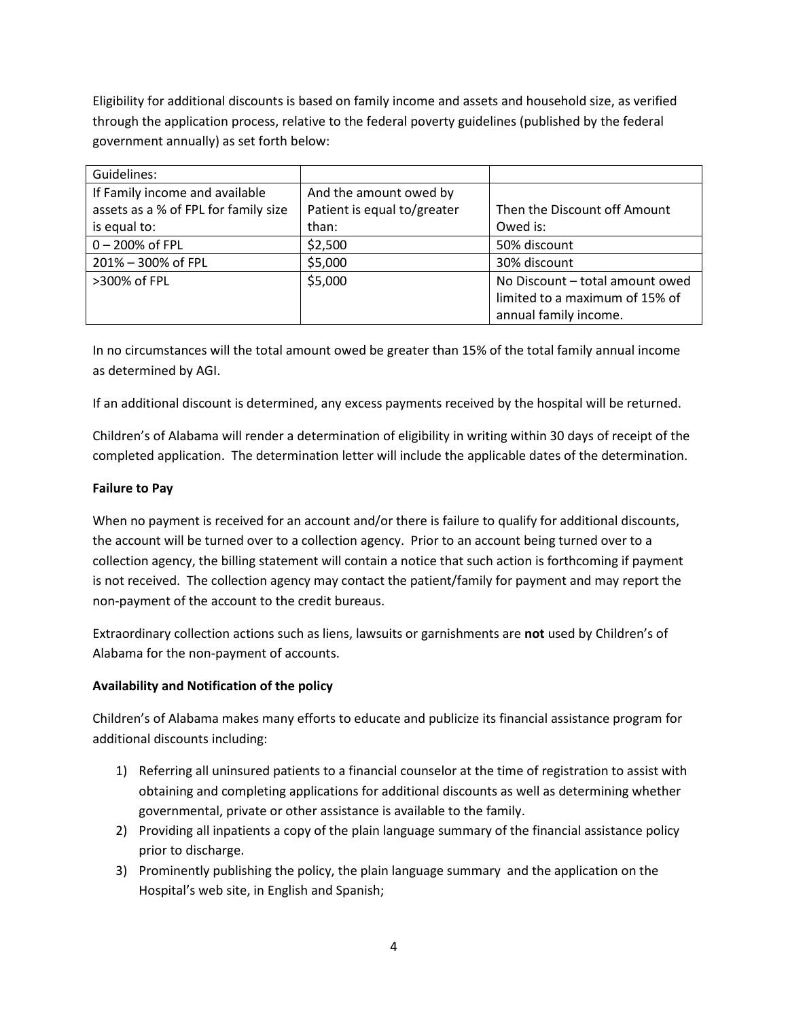Eligibility for additional discounts is based on family income and assets and household size, as verified through the application process, relative to the federal poverty guidelines (published by the federal government annually) as set forth below:

| Guidelines:                          |                             |                                 |
|--------------------------------------|-----------------------------|---------------------------------|
| If Family income and available       | And the amount owed by      |                                 |
| assets as a % of FPL for family size | Patient is equal to/greater | Then the Discount off Amount    |
| is equal to:                         | than:                       | Owed is:                        |
| 0-200% of FPL                        | \$2,500                     | 50% discount                    |
| 201% - 300% of FPL                   | \$5,000                     | 30% discount                    |
| >300% of FPL                         | \$5,000                     | No Discount - total amount owed |
|                                      |                             | limited to a maximum of 15% of  |
|                                      |                             | annual family income.           |

In no circumstances will the total amount owed be greater than 15% of the total family annual income as determined by AGI.

If an additional discount is determined, any excess payments received by the hospital will be returned.

Children's of Alabama will render a determination of eligibility in writing within 30 days of receipt of the completed application. The determination letter will include the applicable dates of the determination.

## **Failure to Pay**

When no payment is received for an account and/or there is failure to qualify for additional discounts, the account will be turned over to a collection agency. Prior to an account being turned over to a collection agency, the billing statement will contain a notice that such action is forthcoming if payment is not received. The collection agency may contact the patient/family for payment and may report the non-payment of the account to the credit bureaus.

Extraordinary collection actions such as liens, lawsuits or garnishments are **not** used by Children's of Alabama for the non-payment of accounts.

## **Availability and Notification of the policy**

Children's of Alabama makes many efforts to educate and publicize its financial assistance program for additional discounts including:

- 1) Referring all uninsured patients to a financial counselor at the time of registration to assist with obtaining and completing applications for additional discounts as well as determining whether governmental, private or other assistance is available to the family.
- 2) Providing all inpatients a copy of the plain language summary of the financial assistance policy prior to discharge.
- 3) Prominently publishing the policy, the plain language summary and the application on the Hospital's web site, in English and Spanish;